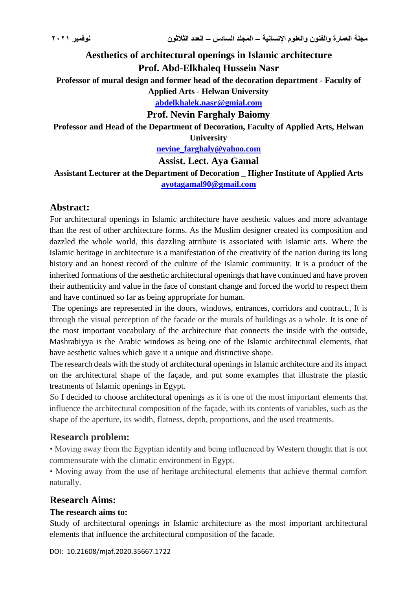# **Aesthetics of architectural openings in Islamic architecture Prof. Abd-Elkhaleq Hussein Nasr**

**Professor of mural design and former head of the decoration department - Faculty of** 

**Applied Arts - Helwan University**

**[abdelkhalek.nasr@gmial.com](mailto:abdelkhalek.nasr@gmial.com)**

**Prof. Nevin Farghaly Baiomy**

**Professor and Head of the Department of Decoration, Faculty of Applied Arts, Helwan** 

**University**

**[nevine\\_farghaly@yahoo.com](mailto:nevine_farghaly@yahoo.com)**

**Assist. Lect. Aya Gamal**

**Assistant Lecturer at the Department of Decoration \_ Higher Institute of Applied Arts [ayotagamal90@gmail.com](mailto:ayotagamal90@gmail.com)**

# **Abstract:**

For architectural openings in Islamic architecture have aesthetic values and more advantage than the rest of other architecture forms. As the Muslim designer created its composition and dazzled the whole world, this dazzling attribute is associated with Islamic arts. Where the Islamic heritage in architecture is a manifestation of the creativity of the nation during its long history and an honest record of the culture of the Islamic community. It is a product of the inherited formations of the aesthetic architectural openings that have continued and have proven their authenticity and value in the face of constant change and forced the world to respect them and have continued so far as being appropriate for human.

The openings are represented in the doors, windows, entrances, corridors and contract., It is through the visual perception of the facade or the murals of buildings as a whole. It is one of the most important vocabulary of the architecture that connects the inside with the outside, Mashrabiyya is the Arabic windows as being one of the Islamic architectural elements, that have aesthetic values which gave it a unique and distinctive shape.

The research deals with the study of architectural openings in Islamic architecture and its impact on the architectural shape of the façade, and put some examples that illustrate the plastic treatments of Islamic openings in Egypt.

So I decided to choose architectural openings as it is one of the most important elements that influence the architectural composition of the façade, with its contents of variables, such as the shape of the aperture, its width, flatness, depth, proportions, and the used treatments.

# **Research problem:**

• Moving away from the Egyptian identity and being influenced by Western thought that is not commensurate with the climatic environment in Egypt.

• Moving away from the use of heritage architectural elements that achieve thermal comfort naturally.

# **Research Aims:**

# **The research aims to:**

Study of architectural openings in Islamic architecture as the most important architectural elements that influence the architectural composition of the facade.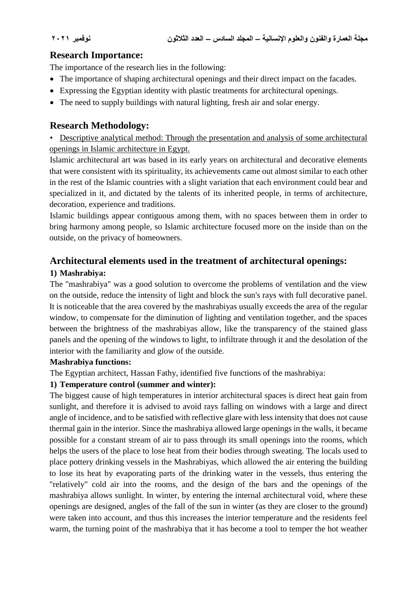# **Research Importance:**

The importance of the research lies in the following:

- The importance of shaping architectural openings and their direct impact on the facades.
- Expressing the Egyptian identity with plastic treatments for architectural openings.
- The need to supply buildings with natural lighting, fresh air and solar energy.

# **Research Methodology:**

• Descriptive analytical method: Through the presentation and analysis of some architectural openings in Islamic architecture in Egypt.

Islamic architectural art was based in its early years on architectural and decorative elements that were consistent with its spirituality, its achievements came out almost similar to each other in the rest of the Islamic countries with a slight variation that each environment could bear and specialized in it, and dictated by the talents of its inherited people, in terms of architecture, decoration, experience and traditions.

Islamic buildings appear contiguous among them, with no spaces between them in order to bring harmony among people, so Islamic architecture focused more on the inside than on the outside, on the privacy of homeowners.

# **Architectural elements used in the treatment of architectural openings:**

# **1) Mashrabiya:**

The "mashrabiya" was a good solution to overcome the problems of ventilation and the view on the outside, reduce the intensity of light and block the sun's rays with full decorative panel. It is noticeable that the area covered by the mashrabiyas usually exceeds the area of the regular window, to compensate for the diminution of lighting and ventilation together, and the spaces between the brightness of the mashrabiyas allow, like the transparency of the stained glass panels and the opening of the windows to light, to infiltrate through it and the desolation of the interior with the familiarity and glow of the outside.

#### **Mashrabiya functions:**

The Egyptian architect, Hassan Fathy, identified five functions of the mashrabiya:

# **1) Temperature control (summer and winter):**

The biggest cause of high temperatures in interior architectural spaces is direct heat gain from sunlight, and therefore it is advised to avoid rays falling on windows with a large and direct angle of incidence, and to be satisfied with reflective glare with less intensity that does not cause thermal gain in the interior. Since the mashrabiya allowed large openings in the walls, it became possible for a constant stream of air to pass through its small openings into the rooms, which helps the users of the place to lose heat from their bodies through sweating. The locals used to place pottery drinking vessels in the Mashrabiyas, which allowed the air entering the building to lose its heat by evaporating parts of the drinking water in the vessels, thus entering the "relatively" cold air into the rooms, and the design of the bars and the openings of the mashrabiya allows sunlight. In winter, by entering the internal architectural void, where these openings are designed, angles of the fall of the sun in winter (as they are closer to the ground) were taken into account, and thus this increases the interior temperature and the residents feel warm, the turning point of the mashrabiya that it has become a tool to temper the hot weather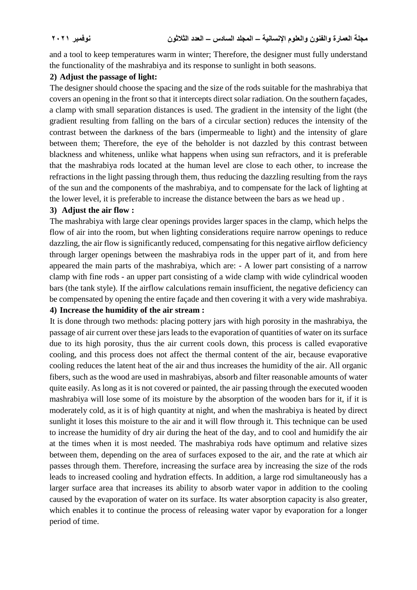and a tool to keep temperatures warm in winter; Therefore, the designer must fully understand the functionality of the mashrabiya and its response to sunlight in both seasons.

#### **2) Adjust the passage of light:**

The designer should choose the spacing and the size of the rods suitable for the mashrabiya that covers an opening in the front so that it intercepts direct solar radiation. On the southern façades, a clamp with small separation distances is used. The gradient in the intensity of the light (the gradient resulting from falling on the bars of a circular section) reduces the intensity of the contrast between the darkness of the bars (impermeable to light) and the intensity of glare between them; Therefore, the eye of the beholder is not dazzled by this contrast between blackness and whiteness, unlike what happens when using sun refractors, and it is preferable that the mashrabiya rods located at the human level are close to each other, to increase the refractions in the light passing through them, thus reducing the dazzling resulting from the rays of the sun and the components of the mashrabiya, and to compensate for the lack of lighting at the lower level, it is preferable to increase the distance between the bars as we head up .

#### **3) Adjust the air flow :**

The mashrabiya with large clear openings provides larger spaces in the clamp, which helps the flow of air into the room, but when lighting considerations require narrow openings to reduce dazzling, the air flow is significantly reduced, compensating for this negative airflow deficiency through larger openings between the mashrabiya rods in the upper part of it, and from here appeared the main parts of the mashrabiya, which are: - A lower part consisting of a narrow clamp with fine rods - an upper part consisting of a wide clamp with wide cylindrical wooden bars (the tank style). If the airflow calculations remain insufficient, the negative deficiency can be compensated by opening the entire façade and then covering it with a very wide mashrabiya.

#### **4) Increase the humidity of the air stream :**

It is done through two methods: placing pottery jars with high porosity in the mashrabiya, the passage of air current over these jars leads to the evaporation of quantities of water on its surface due to its high porosity, thus the air current cools down, this process is called evaporative cooling, and this process does not affect the thermal content of the air, because evaporative cooling reduces the latent heat of the air and thus increases the humidity of the air. All organic fibers, such as the wood are used in mashrabiyas, absorb and filter reasonable amounts of water quite easily. As long as it is not covered or painted, the air passing through the executed wooden mashrabiya will lose some of its moisture by the absorption of the wooden bars for it, if it is moderately cold, as it is of high quantity at night, and when the mashrabiya is heated by direct sunlight it loses this moisture to the air and it will flow through it. This technique can be used to increase the humidity of dry air during the heat of the day, and to cool and humidify the air at the times when it is most needed. The mashrabiya rods have optimum and relative sizes between them, depending on the area of surfaces exposed to the air, and the rate at which air passes through them. Therefore, increasing the surface area by increasing the size of the rods leads to increased cooling and hydration effects. In addition, a large rod simultaneously has a larger surface area that increases its ability to absorb water vapor in addition to the cooling caused by the evaporation of water on its surface. Its water absorption capacity is also greater, which enables it to continue the process of releasing water vapor by evaporation for a longer period of time.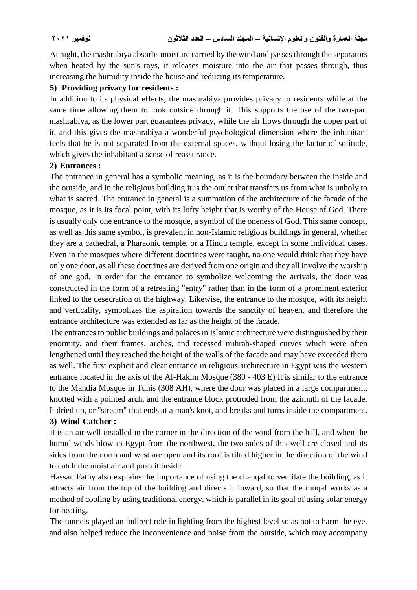At night, the mashrabiya absorbs moisture carried by the wind and passes through the separators when heated by the sun's rays, it releases moisture into the air that passes through, thus increasing the humidity inside the house and reducing its temperature.

#### **5) Providing privacy for residents :**

In addition to its physical effects, the mashrabiya provides privacy to residents while at the same time allowing them to look outside through it. This supports the use of the two-part mashrabiya, as the lower part guarantees privacy, while the air flows through the upper part of it, and this gives the mashrabiya a wonderful psychological dimension where the inhabitant feels that he is not separated from the external spaces, without losing the factor of solitude, which gives the inhabitant a sense of reassurance.

#### **2) Entrances :**

The entrance in general has a symbolic meaning, as it is the boundary between the inside and the outside, and in the religious building it is the outlet that transfers us from what is unholy to what is sacred. The entrance in general is a summation of the architecture of the facade of the mosque, as it is its focal point, with its lofty height that is worthy of the House of God. There is usually only one entrance to the mosque, a symbol of the oneness of God. This same concept, as well as this same symbol, is prevalent in non-Islamic religious buildings in general, whether they are a cathedral, a Pharaonic temple, or a Hindu temple, except in some individual cases. Even in the mosques where different doctrines were taught, no one would think that they have only one door, as all these doctrines are derived from one origin and they all involve the worship of one god. In order for the entrance to symbolize welcoming the arrivals, the door was constructed in the form of a retreating "entry" rather than in the form of a prominent exterior linked to the desecration of the highway. Likewise, the entrance to the mosque, with its height and verticality, symbolizes the aspiration towards the sanctity of heaven, and therefore the entrance architecture was extended as far as the height of the facade.

The entrances to public buildings and palaces in Islamic architecture were distinguished by their enormity, and their frames, arches, and recessed mihrab-shaped curves which were often lengthened until they reached the height of the walls of the facade and may have exceeded them as well. The first explicit and clear entrance in religious architecture in Egypt was the western entrance located in the axis of the Al-Hakim Mosque (380 - 403 E) It is similar to the entrance to the Mahdia Mosque in Tunis (308 AH), where the door was placed in a large compartment, knotted with a pointed arch, and the entrance block protruded from the azimuth of the facade. It dried up, or "stream" that ends at a man's knot, and breaks and turns inside the compartment. **3) Wind-Catcher :** 

It is an air well installed in the corner in the direction of the wind from the hall, and when the humid winds blow in Egypt from the northwest, the two sides of this well are closed and its sides from the north and west are open and its roof is tilted higher in the direction of the wind to catch the moist air and push it inside.

Hassan Fathy also explains the importance of using the chanqaf to ventilate the building, as it attracts air from the top of the building and directs it inward, so that the muqaf works as a method of cooling by using traditional energy, which is parallel in its goal of using solar energy for heating.

The tunnels played an indirect role in lighting from the highest level so as not to harm the eye, and also helped reduce the inconvenience and noise from the outside, which may accompany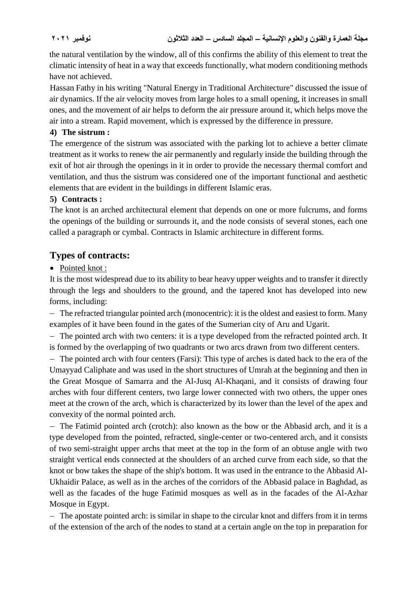the natural ventilation by the window, all of this confirms the ability of this element to treat the climatic intensity of heat in a way that exceeds functionally, what modern conditioning methods have not achieved.

Hassan Fathy in his writing "Natural Energy in Traditional Architecture" discussed the issue of air dynamics. If the air velocity moves from large holes to a small opening, it increases in small ones, and the movement of air helps to deform the air pressure around it, which helps move the air into a stream. Rapid movement, which is expressed by the difference in pressure.

#### **4) The sistrum :**

The emergence of the sistrum was associated with the parking lot to achieve a better climate treatment as it works to renew the air permanently and regularly inside the building through the exit of hot air through the openings in it in order to provide the necessary thermal comfort and ventilation, and thus the sistrum was considered one of the important functional and aesthetic elements that are evident in the buildings in different Islamic eras.

### **5) Contracts :**

The knot is an arched architectural element that depends on one or more fulcrums, and forms the openings of the building or surrounds it, and the node consists of several stones, each one called a paragraph or cymbal. Contracts in Islamic architecture in different forms.

# **Types of contracts:**

### • Pointed knot :

It is the most widespread due to its ability to bear heavy upper weights and to transfer it directly through the legs and shoulders to the ground, and the tapered knot has developed into new forms, including:

 The refracted triangular pointed arch (monocentric): it is the oldest and easiest to form. Many examples of it have been found in the gates of the Sumerian city of Aru and Ugarit.

 The pointed arch with two centers: it is a type developed from the refracted pointed arch. It is formed by the overlapping of two quadrants or two arcs drawn from two different centers.

 The pointed arch with four centers (Farsi): This type of arches is dated back to the era of the Umayyad Caliphate and was used in the short structures of Umrah at the beginning and then in the Great Mosque of Samarra and the Al-Jusq Al-Khaqani, and it consists of drawing four arches with four different centers, two large lower connected with two others, the upper ones meet at the crown of the arch, which is characterized by its lower than the level of the apex and convexity of the normal pointed arch.

 The Fatimid pointed arch (crotch): also known as the bow or the Abbasid arch, and it is a type developed from the pointed, refracted, single-center or two-centered arch, and it consists of two semi-straight upper archs that meet at the top in the form of an obtuse angle with two straight vertical ends connected at the shoulders of an arched curve from each side, so that the knot or bow takes the shape of the ship's bottom. It was used in the entrance to the Abbasid Al-Ukhaidir Palace, as well as in the arches of the corridors of the Abbasid palace in Baghdad, as well as the facades of the huge Fatimid mosques as well as in the facades of the Al-Azhar Mosque in Egypt.

 The apostate pointed arch: is similar in shape to the circular knot and differs from it in terms of the extension of the arch of the nodes to stand at a certain angle on the top in preparation for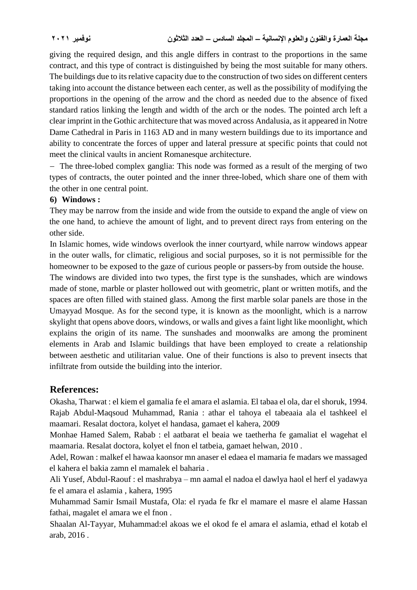giving the required design, and this angle differs in contrast to the proportions in the same contract, and this type of contract is distinguished by being the most suitable for many others. The buildings due to its relative capacity due to the construction of two sides on different centers taking into account the distance between each center, as well as the possibility of modifying the proportions in the opening of the arrow and the chord as needed due to the absence of fixed standard ratios linking the length and width of the arch or the nodes. The pointed arch left a clear imprint in the Gothic architecture that was moved across Andalusia, as it appeared in Notre Dame Cathedral in Paris in 1163 AD and in many western buildings due to its importance and ability to concentrate the forces of upper and lateral pressure at specific points that could not meet the clinical vaults in ancient Romanesque architecture.

 The three-lobed complex ganglia: This node was formed as a result of the merging of two types of contracts, the outer pointed and the inner three-lobed, which share one of them with the other in one central point.

#### **6) Windows :**

They may be narrow from the inside and wide from the outside to expand the angle of view on the one hand, to achieve the amount of light, and to prevent direct rays from entering on the other side.

In Islamic homes, wide windows overlook the inner courtyard, while narrow windows appear in the outer walls, for climatic, religious and social purposes, so it is not permissible for the homeowner to be exposed to the gaze of curious people or passers-by from outside the house.

The windows are divided into two types, the first type is the sunshades, which are windows made of stone, marble or plaster hollowed out with geometric, plant or written motifs, and the spaces are often filled with stained glass. Among the first marble solar panels are those in the Umayyad Mosque. As for the second type, it is known as the moonlight, which is a narrow skylight that opens above doors, windows, or walls and gives a faint light like moonlight, which explains the origin of its name. The sunshades and moonwalks are among the prominent elements in Arab and Islamic buildings that have been employed to create a relationship between aesthetic and utilitarian value. One of their functions is also to prevent insects that infiltrate from outside the building into the interior.

# **References:**

Okasha, Tharwat : el kiem el gamalia fe el amara el aslamia. El tabaa el ola, dar el shoruk, 1994. Rajab Abdul-Maqsoud Muhammad, Rania : athar el tahoya el tabeaaia ala el tashkeel el maamari. Resalat doctora, kolyet el handasa, gamaet el kahera, 2009

Monhae Hamed Salem, Rabab : el aatbarat el beaia we taetherha fe gamaliat el wagehat el maamaria. Resalat doctora, kolyet el fnon el tatbeia, gamaet helwan, 2010 .

Adel, Rowan : malkef el hawaa kaonsor mn anaser el edaea el mamaria fe madars we massaged el kahera el bakia zamn el mamalek el baharia .

Ali Yusef, Abdul-Raouf : el mashrabya – mn aamal el nadoa el dawlya haol el herf el yadawya fe el amara el aslamia , kahera, 1995

Muhammad Samir Ismail Mustafa, Ola: el ryada fe fkr el mamare el masre el alame Hassan fathai, magalet el amara we el fnon .

Shaalan Al-Tayyar, Muhammad:el akoas we el okod fe el amara el aslamia, ethad el kotab el arab, 2016 .